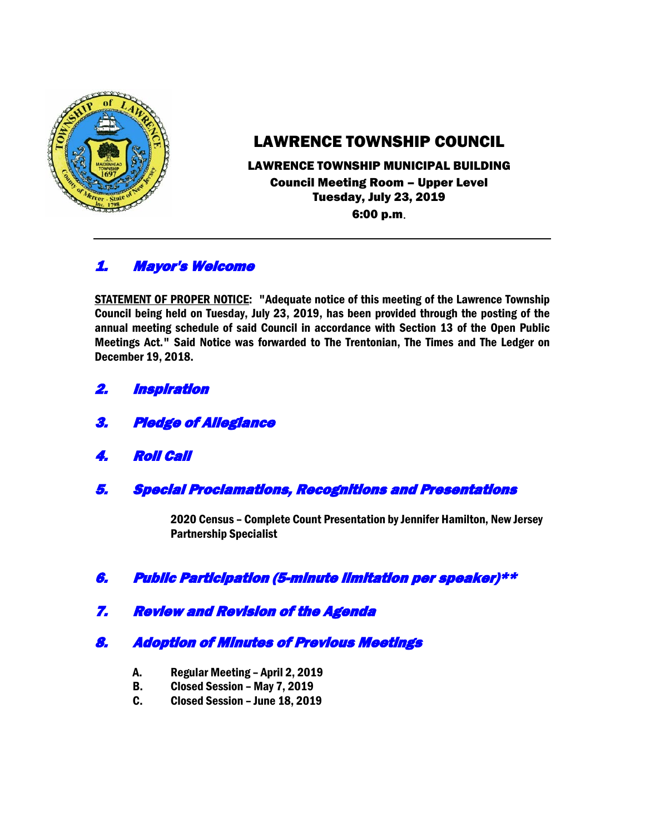

# LAWRENCE TOWNSHIP COUNCIL

### LAWRENCE TOWNSHIP MUNICIPAL BUILDING Council Meeting Room – Upper Level Tuesday, July 23, 2019 6:00 p.m.

# 1. Mayor's Welcome

STATEMENT OF PROPER NOTICE: "Adequate notice of this meeting of the Lawrence Township Council being held on Tuesday, July 23, 2019, has been provided through the posting of the annual meeting schedule of said Council in accordance with Section 13 of the Open Public Meetings Act." Said Notice was forwarded to The Trentonian, The Times and The Ledger on December 19, 2018.

- 2. Inspiration
- 3. Pledge of Allegiance
- 4. Roll Call
- 5. Special Proclamations, Recognitions and Presentations

2020 Census – Complete Count Presentation by Jennifer Hamilton, New Jersey Partnership Specialist

- 6. Public Participation (5-minute limitation per speaker)\*\*
- 7. Review and Revision of the Agenda

## 8. Adoption of Minutes of Previous Meetings

- A. Regular Meeting April 2, 2019
- B. Closed Session May 7, 2019
- C. Closed Session June 18, 2019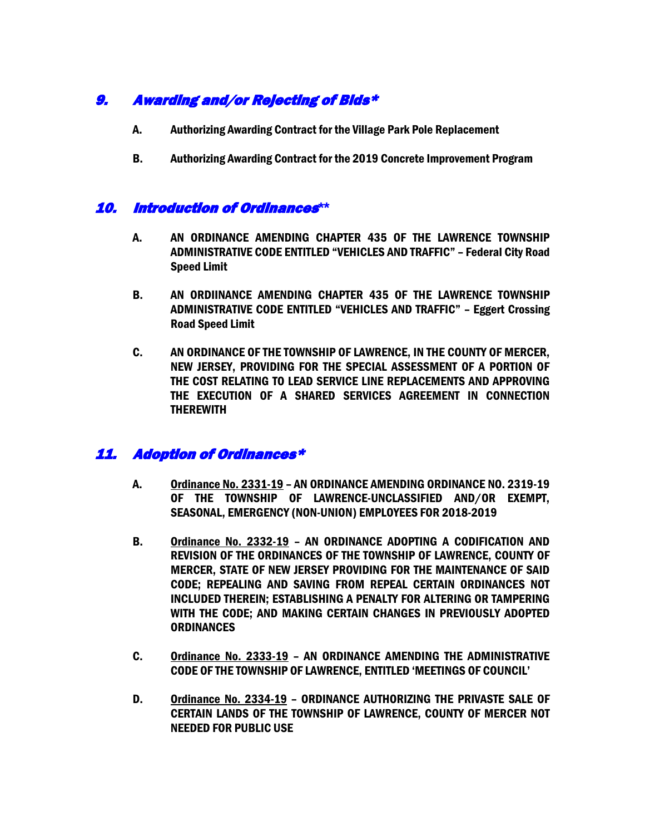# 9. Awarding and/or Rejecting of Bids\*

- A. Authorizing Awarding Contract for the Village Park Pole Replacement
- B. Authorizing Awarding Contract for the 2019 Concrete Improvement Program

### 10. Introduction of Ordinances**\*\***

- A. AN ORDINANCE AMENDING CHAPTER 435 OF THE LAWRENCE TOWNSHIP ADMINISTRATIVE CODE ENTITLED "VEHICLES AND TRAFFIC" – Federal City Road Speed Limit
- B. AN ORDIINANCE AMENDING CHAPTER 435 OF THE LAWRENCE TOWNSHIP ADMINISTRATIVE CODE ENTITLED "VEHICLES AND TRAFFIC" – Eggert Crossing Road Speed Limit
- C. AN ORDINANCE OF THE TOWNSHIP OF LAWRENCE, IN THE COUNTY OF MERCER, NEW JERSEY, PROVIDING FOR THE SPECIAL ASSESSMENT OF A PORTION OF THE COST RELATING TO LEAD SERVICE LINE REPLACEMENTS AND APPROVING THE EXECUTION OF A SHARED SERVICES AGREEMENT IN CONNECTION THEREWITH

## 11. Adoption of Ordinances\*

- A. Ordinance No. 2331-19 AN ORDINANCE AMENDING ORDINANCE NO. 2319-19 OF THE TOWNSHIP OF LAWRENCE-UNCLASSIFIED AND/OR EXEMPT, SEASONAL, EMERGENCY (NON-UNION) EMPLOYEES FOR 2018-2019
- B. Ordinance No. 2332-19 AN ORDINANCE ADOPTING A CODIFICATION AND REVISION OF THE ORDINANCES OF THE TOWNSHIP OF LAWRENCE, COUNTY OF MERCER, STATE OF NEW JERSEY PROVIDING FOR THE MAINTENANCE OF SAID CODE; REPEALING AND SAVING FROM REPEAL CERTAIN ORDINANCES NOT INCLUDED THEREIN; ESTABLISHING A PENALTY FOR ALTERING OR TAMPERING WITH THE CODE; AND MAKING CERTAIN CHANGES IN PREVIOUSLY ADOPTED **ORDINANCES**
- C. Ordinance No. 2333-19 AN ORDINANCE AMENDING THE ADMINISTRATIVE CODE OF THE TOWNSHIP OF LAWRENCE, ENTITLED 'MEETINGS OF COUNCIL'
- D. Ordinance No. 2334-19 ORDINANCE AUTHORIZING THE PRIVASTE SALE OF CERTAIN LANDS OF THE TOWNSHIP OF LAWRENCE, COUNTY OF MERCER NOT NEEDED FOR PUBLIC USE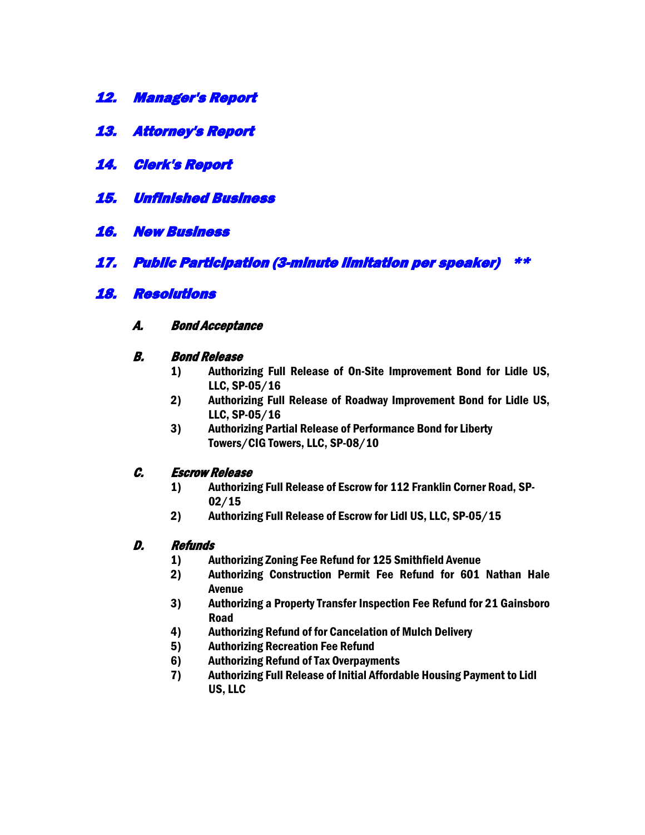- 12. Manager's Report
- 13. Attorney's Report
- 14. Clerk's Report
- 15. Unfinished Business
- 16. New Business
- 17. Public Participation (3-minute limitation per speaker) \*\*

### 18. Resolutions

A. Bond Acceptance

#### B. Bond Release

- 1) Authorizing Full Release of On-Site Improvement Bond for Lidle US, LLC, SP-05/16
- 2) Authorizing Full Release of Roadway Improvement Bond for Lidle US, LLC, SP-05/16
- 3) Authorizing Partial Release of Performance Bond for Liberty Towers/CIG Towers, LLC, SP-08/10

#### C. Escrow Release

- 1) Authorizing Full Release of Escrow for 112 Franklin Corner Road, SP-02/15
- 2) Authorizing Full Release of Escrow for Lidl US, LLC, SP-05/15

#### D. Refunds

- 1) Authorizing Zoning Fee Refund for 125 Smithfield Avenue
- 2) Authorizing Construction Permit Fee Refund for 601 Nathan Hale Avenue
- 3) Authorizing a Property Transfer Inspection Fee Refund for 21 Gainsboro Road
- 4) Authorizing Refund of for Cancelation of Mulch Delivery
- 5) Authorizing Recreation Fee Refund
- 6) Authorizing Refund of Tax Overpayments
- 7) Authorizing Full Release of Initial Affordable Housing Payment to Lidl US, LLC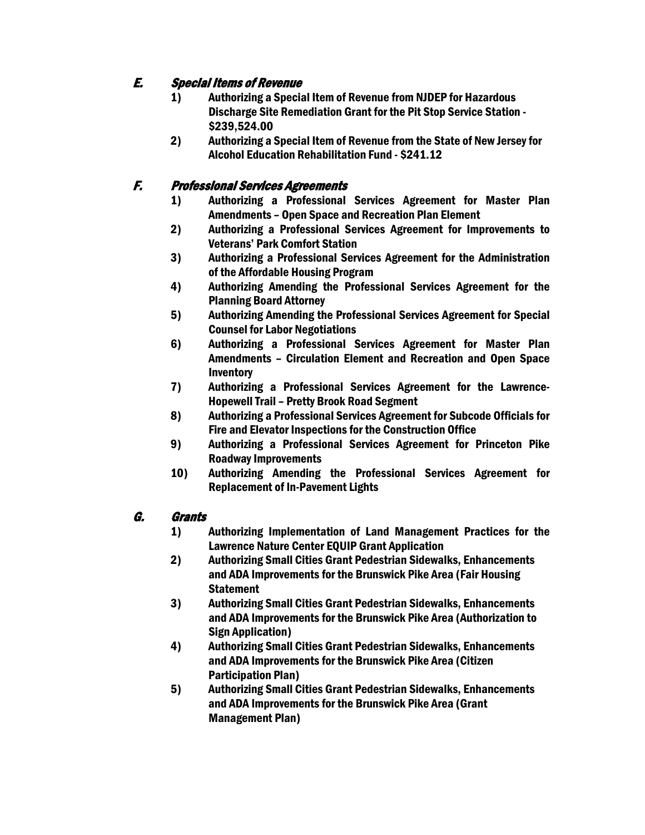# E. Special Items of Revenue

- 1) Authorizing a Special Item of Revenue from NJDEP for Hazardous Discharge Site Remediation Grant for the Pit Stop Service Station - \$239,524.00
- 2) Authorizing a Special Item of Revenue from the State of New Jersey for Alcohol Education Rehabilitation Fund - \$241.12

# F. Professional Services Agreements

- 1) Authorizing a Professional Services Agreement for Master Plan Amendments – Open Space and Recreation Plan Element
- 2) Authorizing a Professional Services Agreement for Improvements to Veterans' Park Comfort Station
- 3) Authorizing a Professional Services Agreement for the Administration of the Affordable Housing Program
- 4) Authorizing Amending the Professional Services Agreement for the Planning Board Attorney
- 5) Authorizing Amending the Professional Services Agreement for Special Counsel for Labor Negotiations
- 6) Authorizing a Professional Services Agreement for Master Plan Amendments – Circulation Element and Recreation and Open Space **Inventory**
- 7) Authorizing a Professional Services Agreement for the Lawrence-Hopewell Trail – Pretty Brook Road Segment
- 8) Authorizing a Professional Services Agreement for Subcode Officials for Fire and Elevator Inspections for the Construction Office
- 9) Authorizing a Professional Services Agreement for Princeton Pike Roadway Improvements
- 10) Authorizing Amending the Professional Services Agreement for Replacement of In-Pavement Lights

## G. Grants

- 1) Authorizing Implementation of Land Management Practices for the Lawrence Nature Center EQUIP Grant Application
- 2) Authorizing Small Cities Grant Pedestrian Sidewalks, Enhancements and ADA Improvements for the Brunswick Pike Area (Fair Housing **Statement**
- 3) Authorizing Small Cities Grant Pedestrian Sidewalks, Enhancements and ADA Improvements for the Brunswick Pike Area (Authorization to Sign Application)
- 4) Authorizing Small Cities Grant Pedestrian Sidewalks, Enhancements and ADA Improvements for the Brunswick Pike Area (Citizen Participation Plan)
- 5) Authorizing Small Cities Grant Pedestrian Sidewalks, Enhancements and ADA Improvements for the Brunswick Pike Area (Grant Management Plan)